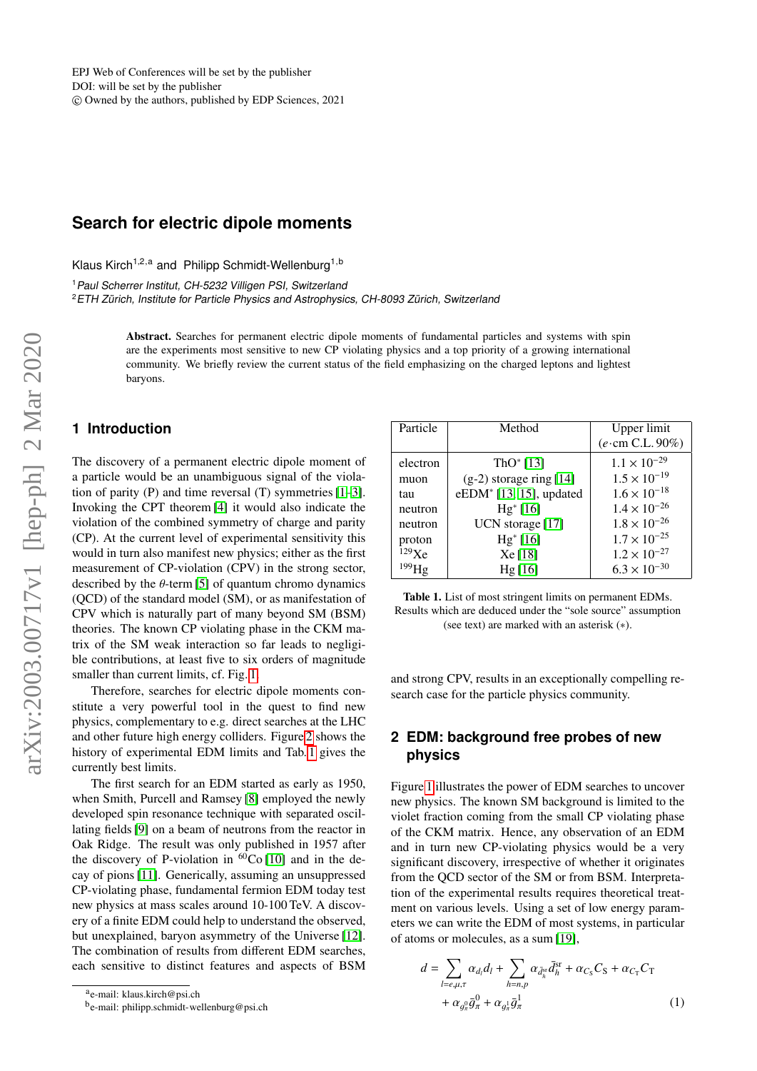# **Search for electric dipole moments**

Klaus Kirch<sup>1,2,a</sup> and Philipp Schmidt-Wellenburg<sup>1,b</sup>

<sup>1</sup> Paul Scherrer Institut, CH-5232 Villigen PSI, Switzerland

<sup>2</sup>ETH Zürich, Institute for Particle Physics and Astrophysics, CH-8093 Zürich, Switzerland

Abstract. Searches for permanent electric dipole moments of fundamental particles and systems with spin are the experiments most sensitive to new CP violating physics and a top priority of a growing international community. We briefly review the current status of the field emphasizing on the charged leptons and lightest baryons.

## <span id="page-0-2"></span>**1 Introduction**

The discovery of a permanent electric dipole moment of a particle would be an unambiguous signal of the violation of parity (P) and time reversal (T) symmetries [\[1–](#page-4-0)[3\]](#page-4-1). Invoking the CPT theorem [\[4\]](#page-4-2) it would also indicate the violation of the combined symmetry of charge and parity (CP). At the current level of experimental sensitivity this would in turn also manifest new physics; either as the first measurement of CP-violation (CPV) in the strong sector, described by the  $\theta$ -term [\[5\]](#page-4-3) of quantum chromo dynamics (QCD) of the standard model (SM), or as manifestation of CPV which is naturally part of many beyond SM (BSM) theories. The known CP violating phase in the CKM matrix of the SM weak interaction so far leads to negligible contributions, at least five to six orders of magnitude smaller than current limits, cf. Fig. [1.](#page-1-0)

Therefore, searches for electric dipole moments constitute a very powerful tool in the quest to find new physics, complementary to e.g. direct searches at the LHC and other future high energy colliders. Figure [2](#page-1-1) shows the history of experimental EDM limits and Tab. [1](#page-0-0) gives the currently best limits.

The first search for an EDM started as early as 1950, when Smith, Purcell and Ramsey [\[8\]](#page-5-0) employed the newly developed spin resonance technique with separated oscillating fields [\[9\]](#page-5-1) on a beam of neutrons from the reactor in Oak Ridge. The result was only published in 1957 after the discovery of P-violation in  $^{60}$ Co [\[10\]](#page-5-2) and in the decay of pions [\[11\]](#page-5-3). Generically, assuming an unsuppressed CP-violating phase, fundamental fermion EDM today test new physics at mass scales around 10-100 TeV. A discovery of a finite EDM could help to understand the observed, but unexplained, baryon asymmetry of the Universe [\[12\]](#page-5-4). The combination of results from different EDM searches, each sensitive to distinct features and aspects of BSM

| Particle | Method                              | Upper limit<br>$(e \cdot cm C.L. 90\%)$ |
|----------|-------------------------------------|-----------------------------------------|
| electron | ThO* $[13]$                         | $1.1 \times 10^{-29}$                   |
| muon     | $(g-2)$ storage ring [14]           | $1.5 \times 10^{-19}$                   |
| tau      | eEDM <sup>*</sup> [13, 15], updated | $1.6 \times 10^{-18}$                   |
| neutron  | $Hg^*[16]$                          | $1.4 \times 10^{-26}$                   |
| neutron  | UCN storage [17]                    | $1.8 \times 10^{-26}$                   |
| proton   | $Hg^*[16]$                          | $1.7 \times 10^{-25}$                   |
| 129Xe    | Xe[18]                              | $1.2 \times 10^{-27}$                   |
|          | Hg[16]                              | $6.3 \times 10^{-30}$                   |

<span id="page-0-0"></span>Table 1. List of most stringent limits on permanent EDMs. Results which are deduced under the "sole source" assumption (see text) are marked with an asterisk (∗).

and strong CPV, results in an exceptionally compelling research case for the particle physics community.

## <span id="page-0-1"></span>**2 EDM: background free probes of new physics**

Figure [1](#page-1-0) illustrates the power of EDM searches to uncover new physics. The known SM background is limited to the violet fraction coming from the small CP violating phase of the CKM matrix. Hence, any observation of an EDM and in turn new CP-violating physics would be a very significant discovery, irrespective of whether it originates from the QCD sector of the SM or from BSM. Interpretation of the experimental results requires theoretical treatment on various levels. Using a set of low energy parameters we can write the EDM of most systems, in particular of atoms or molecules, as a sum [\[19\]](#page-5-11),

$$
d = \sum_{l=e,\mu,\tau} \alpha_{d_l} d_l + \sum_{h=n,p} \alpha_{\bar{d}_h^{\rm sc}} \bar{d}_h^{\rm sr} + \alpha_{C_{\rm S}} C_{\rm S} + \alpha_{C_{\rm T}} C_{\rm T}
$$

$$
+ \alpha_{g_\pi^0} \bar{g}_\pi^0 + \alpha_{g_\pi^1} \bar{g}_\pi^1 \tag{1}
$$

a<sub>e-mail: klaus.kirch@psi.ch</sub>

b<sub>e-mail: philipp.schmidt-wellenburg@psi.ch</sub>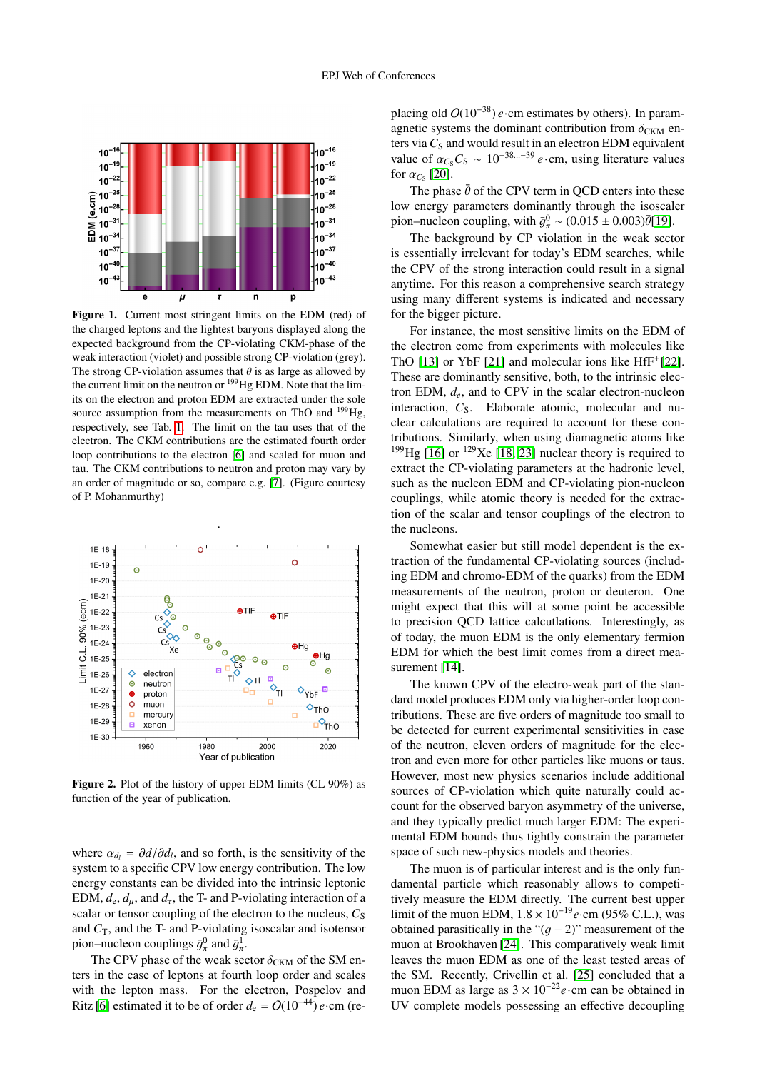

<span id="page-1-0"></span>Figure 1. Current most stringent limits on the EDM (red) of the charged leptons and the lightest baryons displayed along the expected background from the CP-violating CKM-phase of the weak interaction (violet) and possible strong CP-violation (grey). The strong CP-violation assumes that  $\theta$  is as large as allowed by the current limit on the neutron or <sup>199</sup>Hg EDM. Note that the limits on the electron and proton EDM are extracted under the sole source assumption from the measurements on ThO and  $^{199}$ Hg, respectively, see Tab. [1.](#page-0-0) The limit on the tau uses that of the electron. The CKM contributions are the estimated fourth order loop contributions to the electron [\[6\]](#page-4-4) and scaled for muon and tau. The CKM contributions to neutron and proton may vary by an order of magnitude or so, compare e.g. [\[7\]](#page-5-12). (Figure courtesy of P. Mohanmurthy)



<span id="page-1-1"></span>Figure 2. Plot of the history of upper EDM limits (CL 90%) as function of the year of publication.

where  $\alpha_{d_l} = \partial d/\partial d_l$ , and so forth, is the sensitivity of the system to a specific CPV low energy contribution. The low system to a specific CPV low energy contribution. The low energy constants can be divided into the intrinsic leptonic EDM,  $d_e$ ,  $d_u$ , and  $d_\tau$ , the T- and P-violating interaction of a scalar or tensor coupling of the electron to the nucleus,  $C_s$ and  $C_T$ , and the T- and P-violating isoscalar and isotensor pion–nucleon couplings  $\bar{g}_{\pi}^0$  and  $\bar{g}_{\pi}^1$ .<br>The CPV phase of the weak sec

The CPV phase of the weak sector  $\delta_{CKM}$  of the SM en-<br>in the case of leptons at fourth loop order and scales ters in the case of leptons at fourth loop order and scales with the lepton mass. For the electron, Pospelov and Ritz [\[6\]](#page-4-4) estimated it to be of order  $d_e = O(10^{-44}) e$ ·cm (replacing old O(10−38) *e*·cm estimates by others). In paramagnetic systems the dominant contribution from  $\delta_{CKM}$  enters via  $C_S$  and would result in an electron EDM equivalent value of  $\alpha_{C_S}C_S \sim 10^{-38...-39} e \cdot cm$ , using literature values for  $\alpha_{C_S}$  [\[20\]](#page-5-13).<br>The phase

The phase  $\bar{\theta}$  of the CPV term in QCD enters into these low energy parameters dominantly through the isoscaler pion–nucleon coupling, with  $\bar{g}_\pi^0 \sim (0.015 \pm 0.003) \bar{\theta}$ [\[19\]](#page-5-11).<br>The haskspaugh by CB violation in the weak section

The background by CP violation in the weak sector is essentially irrelevant for today's EDM searches, while the CPV of the strong interaction could result in a signal anytime. For this reason a comprehensive search strategy using many different systems is indicated and necessary for the bigger picture.

For instance, the most sensitive limits on the EDM of the electron come from experiments with molecules like ThO [\[13\]](#page-5-5) or YbF [\[21\]](#page-5-14) and molecular ions like HfF<sup>+</sup>[\[22\]](#page-5-15). These are dominantly sensitive, both, to the intrinsic electron EDM,  $d_e$ , and to CPV in the scalar electron-nucleon interaction, C<sub>S</sub>. Elaborate atomic, molecular and nuclear calculations are required to account for these contributions. Similarly, when using diamagnetic atoms like <sup>199</sup>Hg [\[16\]](#page-5-8) or <sup>129</sup>Xe [\[18,](#page-5-10) [23\]](#page-5-16) nuclear theory is required to extract the CP-violating parameters at the hadronic level, such as the nucleon EDM and CP-violating pion-nucleon couplings, while atomic theory is needed for the extraction of the scalar and tensor couplings of the electron to the nucleons.

Somewhat easier but still model dependent is the extraction of the fundamental CP-violating sources (including EDM and chromo-EDM of the quarks) from the EDM measurements of the neutron, proton or deuteron. One might expect that this will at some point be accessible to precision QCD lattice calcutlations. Interestingly, as of today, the muon EDM is the only elementary fermion EDM for which the best limit comes from a direct mea-surement [\[14\]](#page-5-6).

The known CPV of the electro-weak part of the standard model produces EDM only via higher-order loop contributions. These are five orders of magnitude too small to be detected for current experimental sensitivities in case of the neutron, eleven orders of magnitude for the electron and even more for other particles like muons or taus. However, most new physics scenarios include additional sources of CP-violation which quite naturally could account for the observed baryon asymmetry of the universe, and they typically predict much larger EDM: The experimental EDM bounds thus tightly constrain the parameter space of such new-physics models and theories.

The muon is of particular interest and is the only fundamental particle which reasonably allows to competitively measure the EDM directly. The current best upper limit of the muon EDM, 1.<sup>8</sup> <sup>×</sup> <sup>10</sup><sup>−</sup><sup>19</sup>*e*·cm (95% C.L.), was obtained parasitically in the " $(q - 2)$ " measurement of the muon at Brookhaven [\[24\]](#page-5-17). This comparatively weak limit leaves the muon EDM as one of the least tested areas of the SM. Recently, Crivellin et al. [\[25\]](#page-5-18) concluded that a muon EDM as large as  $3 \times 10^{-22}$ e·cm can be obtained in UV complete models possessing an effective decoupling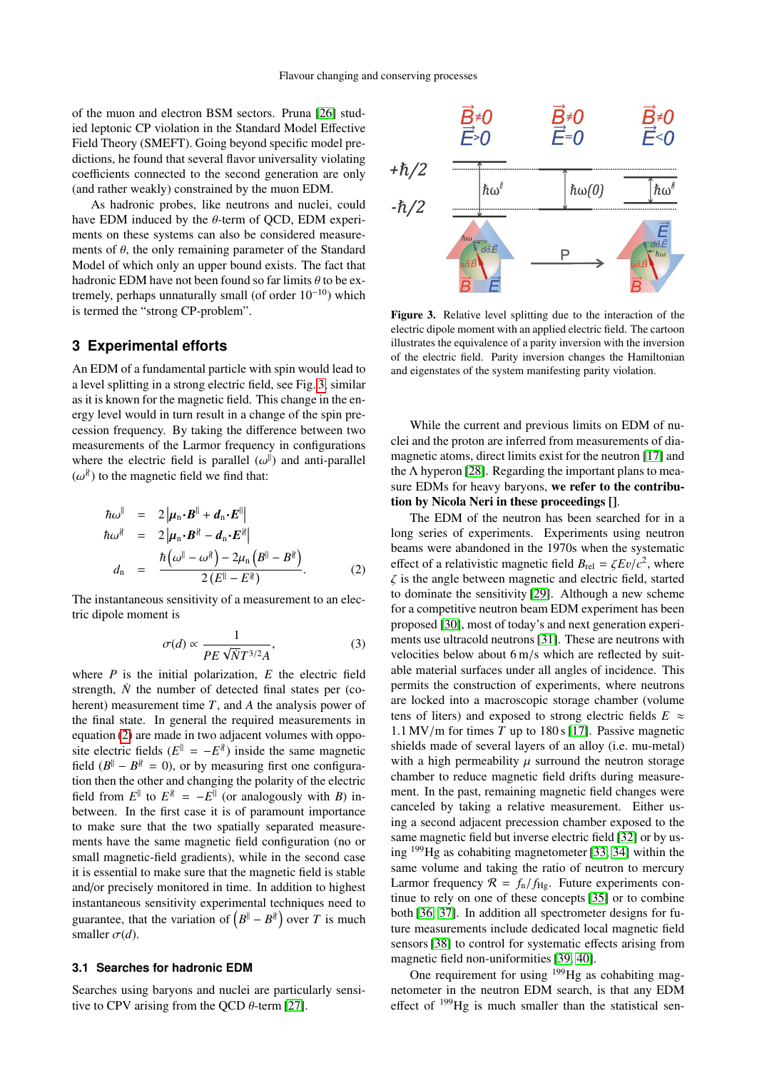of the muon and electron BSM sectors. Pruna [\[26\]](#page-5-19) studied leptonic CP violation in the Standard Model Effective Field Theory (SMEFT). Going beyond specific model predictions, he found that several flavor universality violating coefficients connected to the second generation are only (and rather weakly) constrained by the muon EDM.

As hadronic probes, like neutrons and nuclei, could have EDM induced by the  $\theta$ -term of QCD, EDM experiments on these systems can also be considered measurements of  $\theta$ , the only remaining parameter of the Standard Model of which only an upper bound exists. The fact that hadronic EDM have not been found so far limits  $\theta$  to be extremely, perhaps unnaturally small (of order  $10^{-10}$ ) which is termed the "strong CP-problem".

### **3 Experimental efforts**

An EDM of a fundamental particle with spin would lead to a level splitting in a strong electric field, see Fig. [3,](#page-2-0) similar as it is known for the magnetic field. This change in the energy level would in turn result in a change of the spin precession frequency. By taking the difference between two measurements of the Larmor frequency in configurations where the electric field is parallel  $(\omega^{\parallel})$  and anti-parallel  $(\omega^{\parallel})$  to the magnetic field we find that:  $(\omega^{\sharp})$  to the magnetic field we find that:

<span id="page-2-1"></span>
$$
\begin{array}{rcl}\n\hbar\omega^{\parallel} & = & 2\left|\mu_{\mathbf{n}} \cdot \mathbf{B}^{\parallel} + \mathbf{d}_{\mathbf{n}} \cdot \mathbf{E}^{\parallel}\right| \\
\hbar\omega^{\nparallel} & = & 2\left|\mu_{\mathbf{n}} \cdot \mathbf{B}^{\nparallel} - \mathbf{d}_{\mathbf{n}} \cdot \mathbf{E}^{\nparallel}\right| \\
d_{\mathbf{n}} & = & \frac{\hbar\left(\omega^{\parallel} - \omega^{\parallel}\right) - 2\mu_{\mathbf{n}}\left(\mathbf{B}^{\parallel} - \mathbf{B}^{\parallel}\right)}{2\left(\mathbf{E}^{\parallel} - \mathbf{E}^{\parallel}\right)}.\n\end{array} \tag{2}
$$

The instantaneous sensitivity of a measurement to an electric dipole moment is

$$
\sigma(d) \propto \frac{1}{PE\sqrt{N}T^{3/2}A},\tag{3}
$$

where *P* is the initial polarization, *E* the electric field strength,  $\dot{N}$  the number of detected final states per (coherent) measurement time *T*, and *A* the analysis power of the final state. In general the required measurements in equation [\(2\)](#page-2-1) are made in two adjacent volumes with opposite electric fields  $(E^{\parallel} = -E^{\parallel})$  inside the same magnetic field  $(B^{\parallel} - B^{\dagger} = 0)$ , or by measuring first one configuration then the other and changing the polarity of the electric field from  $E^{\parallel}$  to  $E^{\parallel} = -E^{\parallel}$  (or analogously with *B*) inbetween. In the first case it is of paramount importance to make sure that the two spatially separated measurements have the same magnetic field configuration (no or small magnetic-field gradients), while in the second case it is essential to make sure that the magnetic field is stable and/or precisely monitored in time. In addition to highest instantaneous sensitivity experimental techniques need to guarantee, that the variation of  $(B^{\parallel} - B^{\dagger})$  over *T* is much smaller  $\sigma(d)$ .

#### **3.1 Searches for hadronic EDM**

Searches using baryons and nuclei are particularly sensitive to CPV arising from the QCD  $\theta$ -term [\[27\]](#page-5-20).



<span id="page-2-0"></span>Figure 3. Relative level splitting due to the interaction of the electric dipole moment with an applied electric field. The cartoon illustrates the equivalence of a parity inversion with the inversion of the electric field. Parity inversion changes the Hamiltonian and eigenstates of the system manifesting parity violation.

While the current and previous limits on EDM of nuclei and the proton are inferred from measurements of diamagnetic atoms, direct limits exist for the neutron [\[17\]](#page-5-9) and the  $\Lambda$  hyperon [\[28\]](#page-5-21). Regarding the important plans to measure EDMs for heavy baryons, we refer to the contribution by Nicola Neri in these proceedings [].

The EDM of the neutron has been searched for in a long series of experiments. Experiments using neutron beams were abandoned in the 1970s when the systematic effect of a relativistic magnetic field  $B_{\text{rel}} = \zeta E v/c^2$ , where  $\zeta$  is the angle between magnetic and electric field, started  $\zeta$  is the angle between magnetic and electric field, started to dominate the sensitivity [\[29\]](#page-5-22). Although a new scheme for a competitive neutron beam EDM experiment has been proposed [\[30\]](#page-5-23), most of today's and next generation experiments use ultracold neutrons [\[31\]](#page-5-24). These are neutrons with velocities below about 6 m/s which are reflected by suitable material surfaces under all angles of incidence. This permits the construction of experiments, where neutrons are locked into a macroscopic storage chamber (volume tens of liters) and exposed to strong electric fields  $E \approx$ <sup>1</sup>.1 MV/m for times *<sup>T</sup>* up to 180 s [\[17\]](#page-5-9). Passive magnetic shields made of several layers of an alloy (i.e. mu-metal) with a high permeability  $\mu$  surround the neutron storage chamber to reduce magnetic field drifts during measurement. In the past, remaining magnetic field changes were canceled by taking a relative measurement. Either using a second adjacent precession chamber exposed to the same magnetic field but inverse electric field [\[32\]](#page-5-25) or by using <sup>199</sup>Hg as cohabiting magnetometer [\[33,](#page-5-26) [34\]](#page-5-27) within the same volume and taking the ratio of neutron to mercury Larmor frequency  $\mathcal{R} = f_n / f_{\text{Hg}}$ . Future experiments continue to rely on one of these concepts [\[35\]](#page-5-28) or to combine both [\[36,](#page-5-29) [37\]](#page-5-30). In addition all spectrometer designs for future measurements include dedicated local magnetic field sensors [\[38\]](#page-5-31) to control for systematic effects arising from magnetic field non-uniformities [\[39,](#page-5-32) [40\]](#page-5-33).

One requirement for using  $199$  Hg as cohabiting magnetometer in the neutron EDM search, is that any EDM effect of <sup>199</sup>Hg is much smaller than the statistical sen-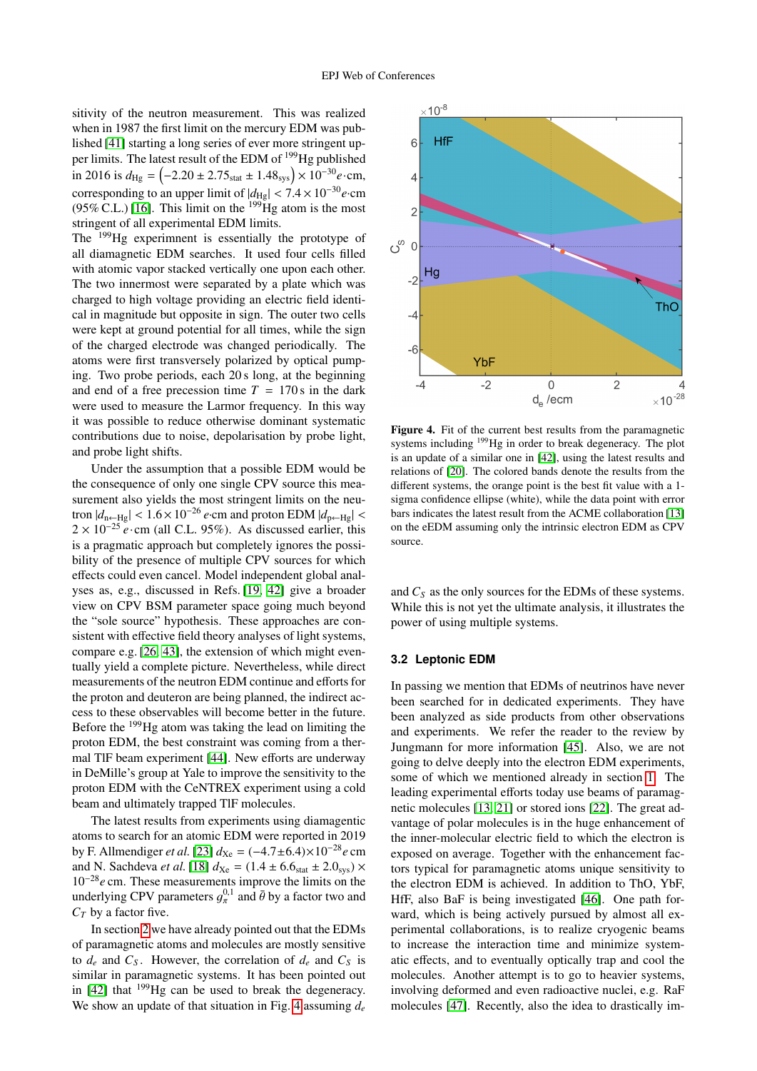sitivity of the neutron measurement. This was realized when in 1987 the first limit on the mercury EDM was published [\[41\]](#page-5-34) starting a long series of ever more stringent upper limits. The latest result of the EDM of <sup>199</sup>Hg published in 2016 is  $d_{\text{Hg}} = \left(-2.20 \pm 2.75_{\text{stat}} \pm 1.48_{\text{sys}}\right) \times 10^{-30} e \cdot \text{cm}$ , corresponding to an upper limit of  $|d_{\text{Hg}}| < 7.4 \times 10^{-30} e \cdot \text{cm}$  $(95\% \text{ C.L.})$  [\[16\]](#page-5-8). This limit on the <sup>199</sup>Hg atom is the most stringent of all experimental EDM limits.

The <sup>199</sup>Hg experimnent is essentially the prototype of all diamagnetic EDM searches. It used four cells filled with atomic vapor stacked vertically one upon each other. The two innermost were separated by a plate which was charged to high voltage providing an electric field identical in magnitude but opposite in sign. The outer two cells were kept at ground potential for all times, while the sign of the charged electrode was changed periodically. The atoms were first transversely polarized by optical pumping. Two probe periods, each 20 s long, at the beginning and end of a free precession time  $T = 170$  s in the dark were used to measure the Larmor frequency. In this way it was possible to reduce otherwise dominant systematic contributions due to noise, depolarisation by probe light, and probe light shifts.

Under the assumption that a possible EDM would be the consequence of only one single CPV source this measurement also yields the most stringent limits on the neutron  $|d_{\text{n}\leftarrow\text{Hg}}| < 1.6 \times 10^{-26}$  *e*·cm and proton EDM  $|d_{\text{p}\leftarrow\text{Hg}}| <$ 2 × 10<sup>-25</sup> *e* ⋅ cm (all C.L. 95%). As discussed earlier, this is a pragmatic approach but completely ignores the possibility of the presence of multiple CPV sources for which effects could even cancel. Model independent global analyses as, e.g., discussed in Refs. [\[19,](#page-5-11) [42\]](#page-5-35) give a broader view on CPV BSM parameter space going much beyond the "sole source" hypothesis. These approaches are consistent with effective field theory analyses of light systems, compare e.g. [\[26,](#page-5-19) [43\]](#page-5-36), the extension of which might eventually yield a complete picture. Nevertheless, while direct measurements of the neutron EDM continue and efforts for the proton and deuteron are being planned, the indirect access to these observables will become better in the future. Before the <sup>199</sup>Hg atom was taking the lead on limiting the proton EDM, the best constraint was coming from a thermal TlF beam experiment [\[44\]](#page-5-37). New efforts are underway in DeMille's group at Yale to improve the sensitivity to the proton EDM with the CeNTREX experiment using a cold beam and ultimately trapped TlF molecules.

The latest results from experiments using diamagentic atoms to search for an atomic EDM were reported in 2019 by F. Allmendiger *et al.* [\[23\]](#page-5-16)  $d_{Xe} = (-4.7 \pm 6.4) \times 10^{-28} e$  cm and N. Sachdeva *et al.* [\[18\]](#page-5-10)  $d_{Xe} = (1.4 \pm 6.6)_{stat} \pm 2.0_{sys} \times$ 10<sup>−</sup><sup>28</sup>*e* cm. These measurements improve the limits on the underlying CPV parameters  $g_{\pi}^{0,1}$  and  $\bar{\theta}$  by a factor two and  $C_{\pi}$  by a factor five  $C_T$  by a factor five.

In section [2](#page-0-1) we have already pointed out that the EDMs of paramagnetic atoms and molecules are mostly sensitive to  $d_e$  and  $C_s$ . However, the correlation of  $d_e$  and  $C_s$  is similar in paramagnetic systems. It has been pointed out in  $[42]$  that  $199$ Hg can be used to break the degeneracy. We show an update of that situation in Fig. [4](#page-3-0) assuming *d<sup>e</sup>*



<span id="page-3-0"></span>Figure 4. Fit of the current best results from the paramagnetic systems including <sup>199</sup>Hg in order to break degeneracy. The plot is an update of a similar one in [\[42\]](#page-5-35), using the latest results and relations of [\[20\]](#page-5-13). The colored bands denote the results from the different systems, the orange point is the best fit value with a 1 sigma confidence ellipse (white), while the data point with error bars indicates the latest result from the ACME collaboration [\[13\]](#page-5-5) on the eEDM assuming only the intrinsic electron EDM as CPV source.

and *C<sup>S</sup>* as the only sources for the EDMs of these systems. While this is not yet the ultimate analysis, it illustrates the power of using multiple systems.

#### **3.2 Leptonic EDM**

In passing we mention that EDMs of neutrinos have never been searched for in dedicated experiments. They have been analyzed as side products from other observations and experiments. We refer the reader to the review by Jungmann for more information [\[45\]](#page-5-38). Also, we are not going to delve deeply into the electron EDM experiments, some of which we mentioned already in section [1.](#page-0-2) The leading experimental efforts today use beams of paramagnetic molecules [\[13,](#page-5-5) [21\]](#page-5-14) or stored ions [\[22\]](#page-5-15). The great advantage of polar molecules is in the huge enhancement of the inner-molecular electric field to which the electron is exposed on average. Together with the enhancement factors typical for paramagnetic atoms unique sensitivity to the electron EDM is achieved. In addition to ThO, YbF, HfF, also BaF is being investigated [\[46\]](#page-5-39). One path forward, which is being actively pursued by almost all experimental collaborations, is to realize cryogenic beams to increase the interaction time and minimize systematic effects, and to eventually optically trap and cool the molecules. Another attempt is to go to heavier systems, involving deformed and even radioactive nuclei, e.g. RaF molecules [\[47\]](#page-5-40). Recently, also the idea to drastically im-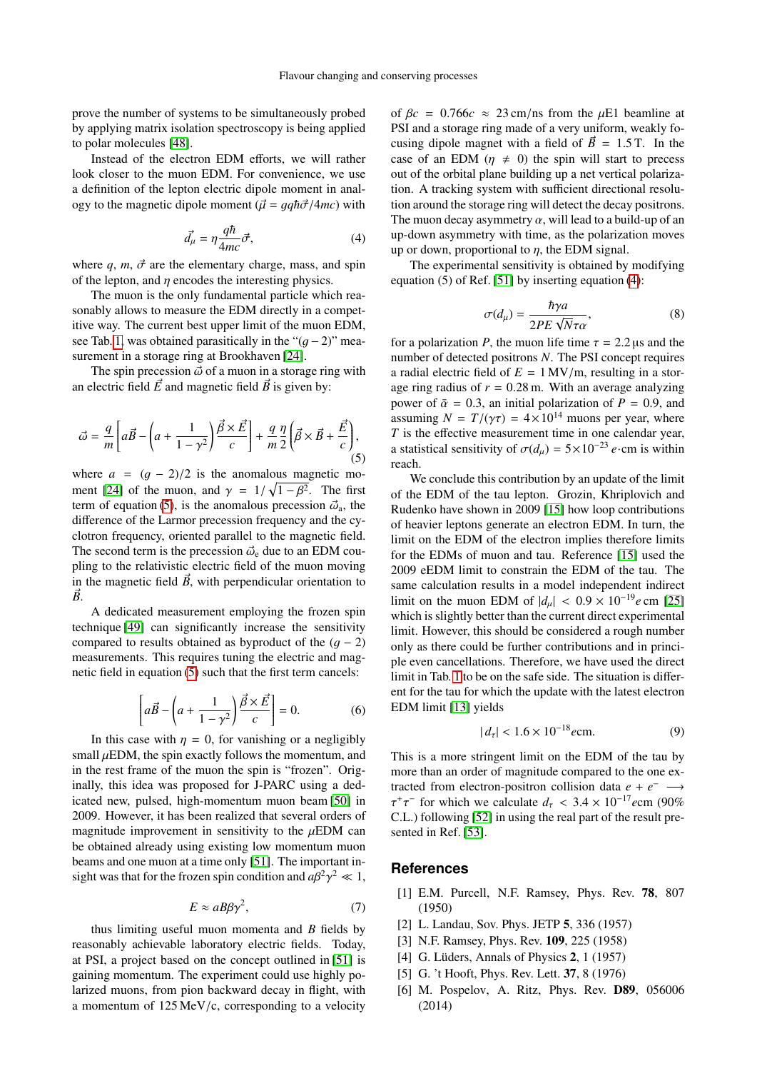prove the number of systems to be simultaneously probed by applying matrix isolation spectroscopy is being applied to polar molecules [\[48\]](#page-5-41).

Instead of the electron EDM efforts, we will rather look closer to the muon EDM. For convenience, we use a definition of the lepton electric dipole moment in analogy to the magnetic dipole moment ( $\vec{\mu} = gq\hbar\vec{\sigma}/4mc$ ) with

<span id="page-4-6"></span>
$$
\vec{d}_{\mu} = \eta \frac{q\hbar}{4mc} \vec{\sigma},\tag{4}
$$

where  $q$ ,  $m$ ,  $\vec{\sigma}$  are the elementary charge, mass, and spin of the lepton, and  $\eta$  encodes the interesting physics.

The muon is the only fundamental particle which reasonably allows to measure the EDM directly in a competitive way. The current best upper limit of the muon EDM, see Tab. [1,](#page-0-0) was obtained parasitically in the " $(g - 2)$ " measurement in a storage ring at Brookhaven [\[24\]](#page-5-17).

The spin precession  $\vec{\omega}$  of a muon in a storage ring with an electric field  $\vec{E}$  and magnetic field  $\vec{B}$  is given by:

<span id="page-4-5"></span>
$$
\vec{\omega} = \frac{q}{m} \left[ a\vec{B} - \left( a + \frac{1}{1 - \gamma^2} \right) \frac{\vec{\beta} \times \vec{E}}{c} \right] + \frac{q}{m} \frac{\eta}{2} \left( \vec{\beta} \times \vec{B} + \frac{\vec{E}}{c} \right),\tag{5}
$$

where  $a = (q - 2)/2$  is the anomalous magnetic mo-ment [\[24\]](#page-5-17) of the muon, and  $\gamma = 1/\sqrt{1-\beta^2}$ . The first<br>term of equation (5) is the anomalous precession  $\vec{\phi}$  the term of equation [\(5\)](#page-4-5), is the anomalous precession  $\vec{\omega}_a$ , the difference of the Larmor precession frequency and the cyclotron frequency, oriented parallel to the magnetic field. The second term is the precession  $\vec{\omega}_e$  due to an EDM coupling to the relativistic electric field of the muon moving in the magnetic field  $\vec{B}$ , with perpendicular orientation to  $\vec{B}$ .

A dedicated measurement employing the frozen spin technique [\[49\]](#page-5-42) can significantly increase the sensitivity compared to results obtained as byproduct of the  $(q - 2)$ measurements. This requires tuning the electric and magnetic field in equation [\(5\)](#page-4-5) such that the first term cancels:

$$
\left[a\vec{B} - \left(a + \frac{1}{1 - \gamma^2}\right)\frac{\vec{\beta} \times \vec{E}}{c}\right] = 0.
$$
 (6)

In this case with  $\eta = 0$ , for vanishing or a negligibly small  $\mu$ EDM, the spin exactly follows the momentum, and in the rest frame of the muon the spin is "frozen". Originally, this idea was proposed for J-PARC using a dedicated new, pulsed, high-momentum muon beam [\[50\]](#page-5-43) in 2009. However, it has been realized that several orders of magnitude improvement in sensitivity to the  $\mu$ EDM can be obtained already using existing low momentum muon beams and one muon at a time only [\[51\]](#page-5-44). The important insight was that for the frozen spin condition and  $a\beta^2$  $\gamma^2 \ll 1,$ 

$$
E \approx aB\beta\gamma^2,\tag{7}
$$

thus limiting useful muon momenta and *B* fields by reasonably achievable laboratory electric fields. Today, at PSI, a project based on the concept outlined in [\[51\]](#page-5-44) is gaining momentum. The experiment could use highly polarized muons, from pion backward decay in flight, with a momentum of 125 MeV/c, corresponding to a velocity of  $\beta c = 0.766c \approx 23$  cm/ns from the  $\mu$ E1 beamline at PSI and a storage ring made of a very uniform, weakly focusing dipole magnet with a field of  $\vec{B} = 1.5$  T. In the case of an EDM ( $\eta \neq 0$ ) the spin will start to precess out of the orbital plane building up a net vertical polarization. A tracking system with sufficient directional resolution around the storage ring will detect the decay positrons. The muon decay asymmetry  $\alpha$ , will lead to a build-up of an up-down asymmetry with time, as the polarization moves up or down, proportional to  $\eta$ , the EDM signal.

The experimental sensitivity is obtained by modifying equation  $(5)$  of Ref. [\[51\]](#page-5-44) by inserting equation  $(4)$ :

$$
\sigma(d_{\mu}) = \frac{\hbar \gamma a}{2PE \sqrt{N}\tau \alpha},
$$
\n(8)

\n*P*, the muon life time  $\tau = 2.2$  us and the

for a polarization *P*, the muon life time  $\tau = 2.2 \,\mu$ s and the number of detected positrons *N*. The PSI concent requires number of detected positrons *N*. The PSI concept requires a radial electric field of  $E = 1$  MV/m, resulting in a storage ring radius of  $r = 0.28$  m. With an average analyzing power of  $\bar{\alpha} = 0.3$ , an initial polarization of  $P = 0.9$ , and assuming  $N = T/(\gamma \tau) = 4 \times 10^{14}$  muons per year, where *T* is the effective measurement time in one calendar year, a statistical sensitivity of  $\sigma(d_u) = 5 \times 10^{-23} e \cdot$ cm is within reach.

We conclude this contribution by an update of the limit of the EDM of the tau lepton. Grozin, Khriplovich and Rudenko have shown in 2009 [\[15\]](#page-5-7) how loop contributions of heavier leptons generate an electron EDM. In turn, the limit on the EDM of the electron implies therefore limits for the EDMs of muon and tau. Reference [\[15\]](#page-5-7) used the 2009 eEDM limit to constrain the EDM of the tau. The same calculation results in a model independent indirect limit on the muon EDM of  $|d_{\mu}| < 0.9 \times 10^{-19} e$  cm [\[25\]](#page-5-18) which is slightly better than the current direct experimental limit. However, this should be considered a rough number only as there could be further contributions and in principle even cancellations. Therefore, we have used the direct limit in Tab. [1](#page-0-0) to be on the safe side. The situation is different for the tau for which the update with the latest electron EDM limit [\[13\]](#page-5-5) yields

$$
|d_{\tau}| < 1.6 \times 10^{-18} e \text{cm.}
$$
 (9)

This is a more stringent limit on the EDM of the tau by more than an order of magnitude compared to the one extracted from electron-positron collision data  $e + e^- \longrightarrow$ τ τ C.L.) following [\[52\]](#page-5-45) in using the real part of the result pre-<sup>+</sup> $\tau^-$  for which we calculate  $d_{\tau} < 3.4 \times 10^{-17}$ ecm (90%<sup>-17</sup>) following [52] in using the real part of the result presented in Ref. [\[53\]](#page-5-46).

### **References**

- <span id="page-4-0"></span>[1] E.M. Purcell, N.F. Ramsey, Phys. Rev. 78, 807 (1950)
- [2] L. Landau, Sov. Phys. JETP 5, 336 (1957)
- <span id="page-4-1"></span>[3] N.F. Ramsey, Phys. Rev. 109, 225 (1958)
- <span id="page-4-2"></span>[4] G. Lüders, Annals of Physics 2, 1 (1957)
- <span id="page-4-3"></span>[5] G. 't Hooft, Phys. Rev. Lett. **37**, 8 (1976)
- <span id="page-4-4"></span>[6] M. Pospelov, A. Ritz, Phys. Rev. D89, 056006 (2014)